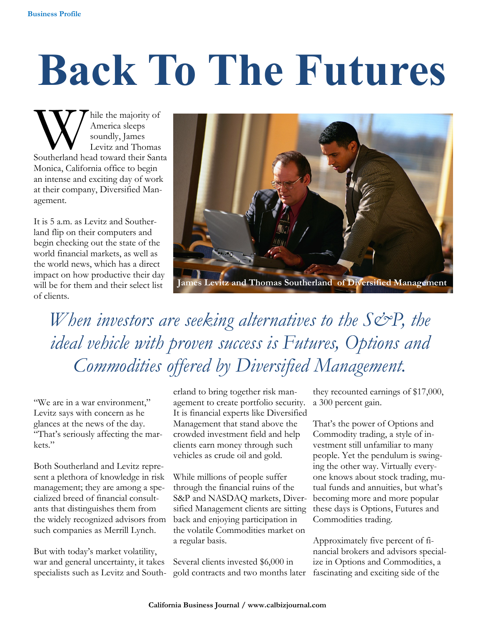## **Back To The Futures**

W hile the majority of<br>America sleeps<br>Southerland head toward their Santa hile the majority of America sleeps soundly, James Levitz and Thomas Monica, California office to begin an intense and exciting day of work at their company, Diversified Management.

It is 5 a.m. as Levitz and Southerland flip on their computers and begin checking out the state of the world financial markets, as well as the world news, which has a direct impact on how productive their day will be for them and their select list of clients.



es Levitz and Thomas Southerland of Diversified Management

When investors are seeking alternatives to the S&P, the *ideal vehicle with proven success is Futures, Options and Commodities offered by Diversified Management.*

"We are in a war environment," Levitz says with concern as he glances at the news of the day. "That's seriously affecting the markets."

Both Southerland and Levitz represent a plethora of knowledge in risk management; they are among a specialized breed of financial consultants that distinguishes them from the widely recognized advisors from such companies as Merrill Lynch.

But with today's market volatility, war and general uncertainty, it takes specialists such as Levitz and Southerland to bring together risk management to create portfolio security. It is financial experts like Diversified Management that stand above the crowded investment field and help clients earn money through such vehicles as crude oil and gold.

While millions of people suffer through the financial ruins of the S&P and NASDAQ markets, Diversified Management clients are sitting back and enjoying participation in the volatile Commodities market on a regular basis.

Several clients invested \$6,000 in gold contracts and two months later

they recounted earnings of \$17,000, a 300 percent gain.

That's the power of Options and Commodity trading, a style of investment still unfamiliar to many people. Yet the pendulum is swinging the other way. Virtually everyone knows about stock trading, mutual funds and annuities, but what's becoming more and more popular these days is Options, Futures and Commodities trading.

Approximately five percent of financial brokers and advisors specialize in Options and Commodities, a fascinating and exciting side of the